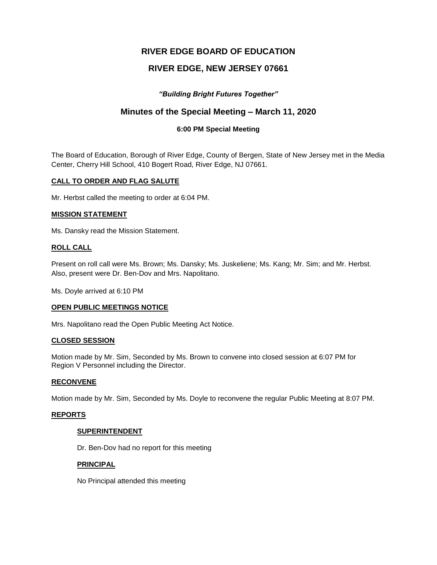# **RIVER EDGE BOARD OF EDUCATION**

# **RIVER EDGE, NEW JERSEY 07661**

# *"Building Bright Futures Together"*

# **Minutes of the Special Meeting – March 11, 2020**

# **6:00 PM Special Meeting**

The Board of Education, Borough of River Edge, County of Bergen, State of New Jersey met in the Media Center, Cherry Hill School, 410 Bogert Road, River Edge, NJ 07661.

## **CALL TO ORDER AND FLAG SALUTE**

Mr. Herbst called the meeting to order at 6:04 PM.

#### **MISSION STATEMENT**

Ms. Dansky read the Mission Statement.

#### **ROLL CALL**

Present on roll call were Ms. Brown; Ms. Dansky; Ms. Juskeliene; Ms. Kang; Mr. Sim; and Mr. Herbst. Also, present were Dr. Ben-Dov and Mrs. Napolitano.

Ms. Doyle arrived at 6:10 PM

#### **OPEN PUBLIC MEETINGS NOTICE**

Mrs. Napolitano read the Open Public Meeting Act Notice.

#### **CLOSED SESSION**

Motion made by Mr. Sim, Seconded by Ms. Brown to convene into closed session at 6:07 PM for Region V Personnel including the Director.

#### **RECONVENE**

Motion made by Mr. Sim, Seconded by Ms. Doyle to reconvene the regular Public Meeting at 8:07 PM.

#### **REPORTS**

#### **SUPERINTENDENT**

Dr. Ben-Dov had no report for this meeting

#### **PRINCIPAL**

No Principal attended this meeting